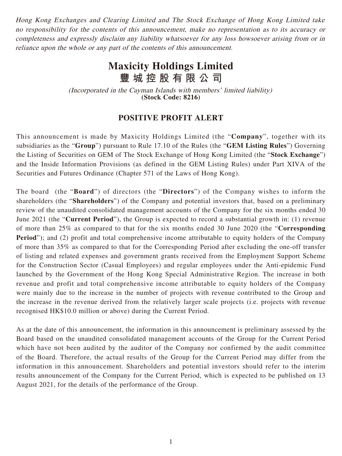Hong Kong Exchanges and Clearing Limited and The Stock Exchange of Hong Kong Limited take no responsibility for the contents of this announcement, make no representation as to its accuracy or completeness and expressly disclaim any liability whatsoever for any loss howsoever arising from or in reliance upon the whole or any part of the contents of this announcement.

## **Maxicity Holdings Limited 豐城控股有限公司**

(Incorporated in the Cayman Islands with members' limited liability) **(Stock Code: 8216)**

## **POSITIVE PROFIT ALERT**

This announcement is made by Maxicity Holdings Limited (the "**Company**", together with its subsidiaries as the "**Group**") pursuant to Rule 17.10 of the Rules (the "**GEM Listing Rules**") Governing the Listing of Securities on GEM of The Stock Exchange of Hong Kong Limited (the "**Stock Exchange**") and the Inside Information Provisions (as defined in the GEM Listing Rules) under Part XIVA of the Securities and Futures Ordinance (Chapter 571 of the Laws of Hong Kong).

The board (the "**Board**") of directors (the "**Directors**") of the Company wishes to inform the shareholders (the "**Shareholders**") of the Company and potential investors that, based on a preliminary review of the unaudited consolidated management accounts of the Company for the six months ended 30 June 2021 (the "**Current Period**"), the Group is expected to record a substantial growth in: (1) revenue of more than 25% as compared to that for the six months ended 30 June 2020 (the "**Corresponding Period**"); and (2) profit and total comprehensive income attributable to equity holders of the Company of more than 35% as compared to that for the Corresponding Period after excluding the one-off transfer of listing and related expenses and government grants received from the Employment Support Scheme for the Construction Sector (Casual Employees) and regular employees under the Anti-epidemic Fund launched by the Government of the Hong Kong Special Administrative Region. The increase in both revenue and profit and total comprehensive income attributable to equity holders of the Company were mainly due to the increase in the number of projects with revenue contributed to the Group and the increase in the revenue derived from the relatively larger scale projects (i.e. projects with revenue recognised HK\$10.0 million or above) during the Current Period.

As at the date of this announcement, the information in this announcement is preliminary assessed by the Board based on the unaudited consolidated management accounts of the Group for the Current Period which have not been audited by the auditor of the Company nor confirmed by the audit committee of the Board. Therefore, the actual results of the Group for the Current Period may differ from the information in this announcement. Shareholders and potential investors should refer to the interim results announcement of the Company for the Current Period, which is expected to be published on 13 August 2021, for the details of the performance of the Group.